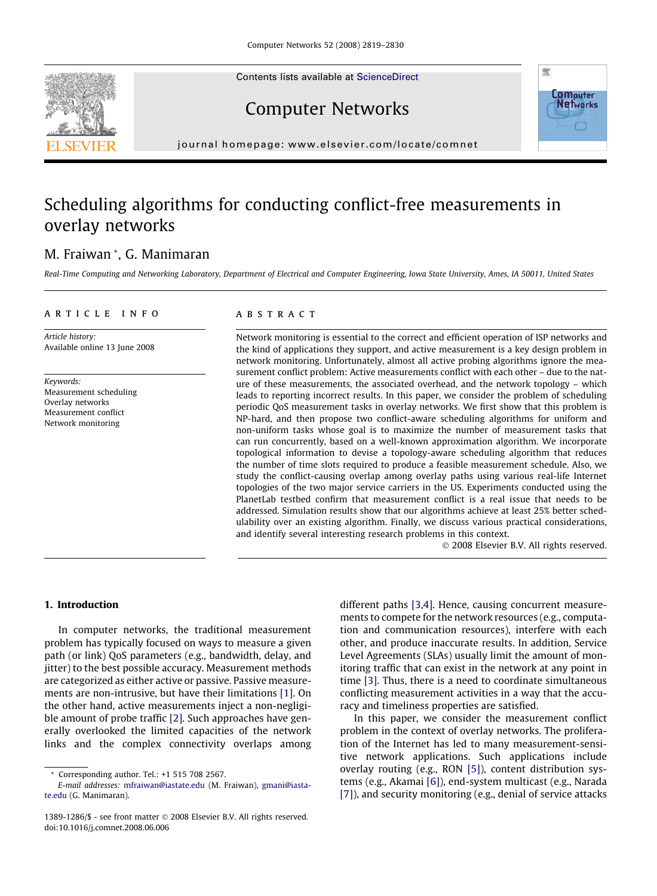Contents lists available at [ScienceDirect](http://www.sciencedirect.com/science/journal/13891286)





Computer Networks

journal homepage: [www.elsevier.com/locate/comnet](http://www.elsevier.com/locate/comnet)

## Scheduling algorithms for conducting conflict-free measurements in overlay networks

## M. Fraiwan \*, G. Manimaran

Real-Time Computing and Networking Laboratory, Department of Electrical and Computer Engineering, Iowa State University, Ames, IA 50011, United States

## article info

Article history: Available online 13 June 2008

Keywords: Measurement scheduling Overlay networks Measurement conflict Network monitoring

## **ABSTRACT**

Network monitoring is essential to the correct and efficient operation of ISP networks and the kind of applications they support, and active measurement is a key design problem in network monitoring. Unfortunately, almost all active probing algorithms ignore the measurement conflict problem: Active measurements conflict with each other – due to the nature of these measurements, the associated overhead, and the network topology – which leads to reporting incorrect results. In this paper, we consider the problem of scheduling periodic QoS measurement tasks in overlay networks. We first show that this problem is NP-hard, and then propose two conflict-aware scheduling algorithms for uniform and non-uniform tasks whose goal is to maximize the number of measurement tasks that can run concurrently, based on a well-known approximation algorithm. We incorporate topological information to devise a topology-aware scheduling algorithm that reduces the number of time slots required to produce a feasible measurement schedule. Also, we study the conflict-causing overlap among overlay paths using various real-life Internet topologies of the two major service carriers in the US. Experiments conducted using the PlanetLab testbed confirm that measurement conflict is a real issue that needs to be addressed. Simulation results show that our algorithms achieve at least 25% better schedulability over an existing algorithm. Finally, we discuss various practical considerations, and identify several interesting research problems in this context.

- 2008 Elsevier B.V. All rights reserved.

## 1. Introduction

In computer networks, the traditional measurement problem has typically focused on ways to measure a given path (or link) QoS parameters (e.g., bandwidth, delay, and jitter) to the best possible accuracy. Measurement methods are categorized as either active or passive. Passive measurements are non-intrusive, but have their limitations [\[1\].](#page--1-0) On the other hand, active measurements inject a non-negligible amount of probe traffic [\[2\]](#page--1-0). Such approaches have generally overlooked the limited capacities of the network links and the complex connectivity overlaps among different paths [\[3,4\].](#page--1-0) Hence, causing concurrent measurements to compete for the network resources (e.g., computation and communication resources), interfere with each other, and produce inaccurate results. In addition, Service Level Agreements (SLAs) usually limit the amount of monitoring traffic that can exist in the network at any point in time [\[3\].](#page--1-0) Thus, there is a need to coordinate simultaneous conflicting measurement activities in a way that the accuracy and timeliness properties are satisfied.

In this paper, we consider the measurement conflict problem in the context of overlay networks. The proliferation of the Internet has led to many measurement-sensitive network applications. Such applications include overlay routing (e.g., RON [\[5\]](#page--1-0)), content distribution systems (e.g., Akamai [\[6\]](#page--1-0)), end-system multicast (e.g., Narada [\[7\]\)](#page--1-0), and security monitoring (e.g., denial of service attacks

<sup>\*</sup> Corresponding author. Tel.: +1 515 708 2567.

E-mail addresses: [mfraiwan@iastate.edu](mailto:mfraiwan@iastate.edu) (M. Fraiwan), [gmani@iasta](mailto:gmani@iastate.edu)[te.edu](mailto:gmani@iastate.edu) (G. Manimaran).

<sup>1389-1286/\$ -</sup> see front matter © 2008 Elsevier B.V. All rights reserved. doi:10.1016/j.comnet.2008.06.006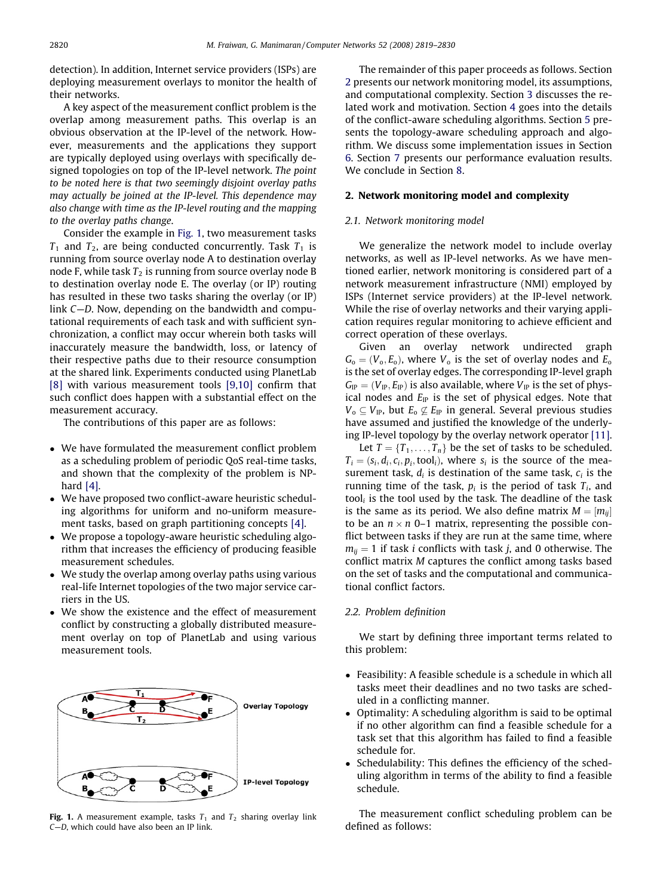detection). In addition, Internet service providers (ISPs) are deploying measurement overlays to monitor the health of their networks.

A key aspect of the measurement conflict problem is the overlap among measurement paths. This overlap is an obvious observation at the IP-level of the network. However, measurements and the applications they support are typically deployed using overlays with specifically designed topologies on top of the IP-level network. The point to be noted here is that two seemingly disjoint overlay paths may actually be joined at the IP-level. This dependence may also change with time as the IP-level routing and the mapping to the overlay paths change.

Consider the example in Fig. 1, two measurement tasks  $T_1$  and  $T_2$ , are being conducted concurrently. Task  $T_1$  is running from source overlay node A to destination overlay node F, while task  $T_2$  is running from source overlay node B to destination overlay node E. The overlay (or IP) routing has resulted in these two tasks sharing the overlay (or IP) link C—D. Now, depending on the bandwidth and computational requirements of each task and with sufficient synchronization, a conflict may occur wherein both tasks will inaccurately measure the bandwidth, loss, or latency of their respective paths due to their resource consumption at the shared link. Experiments conducted using PlanetLab [\[8\]](#page--1-0) with various measurement tools [\[9,10\]](#page--1-0) confirm that such conflict does happen with a substantial effect on the measurement accuracy.

The contributions of this paper are as follows:

- We have formulated the measurement conflict problem as a scheduling problem of periodic QoS real-time tasks, and shown that the complexity of the problem is NPhard [\[4\].](#page--1-0)
- We have proposed two conflict-aware heuristic scheduling algorithms for uniform and no-uniform measurement tasks, based on graph partitioning concepts [\[4\]](#page--1-0).
- We propose a topology-aware heuristic scheduling algorithm that increases the efficiency of producing feasible measurement schedules.
- We study the overlap among overlay paths using various real-life Internet topologies of the two major service carriers in the US.
- We show the existence and the effect of measurement conflict by constructing a globally distributed measurement overlay on top of PlanetLab and using various measurement tools.



Fig. 1. A measurement example, tasks  $T_1$  and  $T_2$  sharing overlay link C—D, which could have also been an IP link.

The remainder of this paper proceeds as follows. Section 2 presents our network monitoring model, its assumptions, and computational complexity. Section 3 discusses the related work and motivation. Section 4 goes into the details of the conflict-aware scheduling algorithms. Section 5 presents the topology-aware scheduling approach and algorithm. We discuss some implementation issues in Section 6. Section 7 presents our performance evaluation results. We conclude in Section 8.

### 2. Network monitoring model and complexity

#### 2.1. Network monitoring model

We generalize the network model to include overlay networks, as well as IP-level networks. As we have mentioned earlier, network monitoring is considered part of a network measurement infrastructure (NMI) employed by ISPs (Internet service providers) at the IP-level network. While the rise of overlay networks and their varying application requires regular monitoring to achieve efficient and correct operation of these overlays.

Given an overlay network undirected graph  $G_0 = (V_0, E_0)$ , where  $V_0$  is the set of overlay nodes and  $E_0$ is the set of overlay edges. The corresponding IP-level graph  $G_{IP} = (V_{IP}, E_{IP})$  is also available, where  $V_{IP}$  is the set of physical nodes and  $E_{IP}$  is the set of physical edges. Note that  $V_{\text{o}} \subseteq V_{\text{IP}}$ , but  $E_{\text{o}} \nsubseteq E_{\text{IP}}$  in general. Several previous studies have assumed and justified the knowledge of the underlying IP-level topology by the overlay network operator [\[11\]](#page--1-0).

Let  $T = \{T_1, \ldots, T_n\}$  be the set of tasks to be scheduled.  $T_i = (s_i, d_i, c_i, p_i, \text{tool}_i)$ , where  $s_i$  is the source of the measurement task,  $d_i$  is destination of the same task,  $c_i$  is the running time of the task,  $p_i$  is the period of task  $T_i$ , and tool $_i$  is the tool used by the task. The deadline of the task is the same as its period. We also define matrix  $M = [m_{ii}]$ to be an  $n \times n$  0–1 matrix, representing the possible conflict between tasks if they are run at the same time, where  $m_{ii} = 1$  if task *i* conflicts with task *j*, and 0 otherwise. The conflict matrix M captures the conflict among tasks based on the set of tasks and the computational and communicational conflict factors.

## 2.2. Problem definition

We start by defining three important terms related to this problem:

- Feasibility: A feasible schedule is a schedule in which all tasks meet their deadlines and no two tasks are scheduled in a conflicting manner.
- Optimality: A scheduling algorithm is said to be optimal if no other algorithm can find a feasible schedule for a task set that this algorithm has failed to find a feasible schedule for.
- - Schedulability: This defines the efficiency of the scheduling algorithm in terms of the ability to find a feasible schedule.

The measurement conflict scheduling problem can be defined as follows: